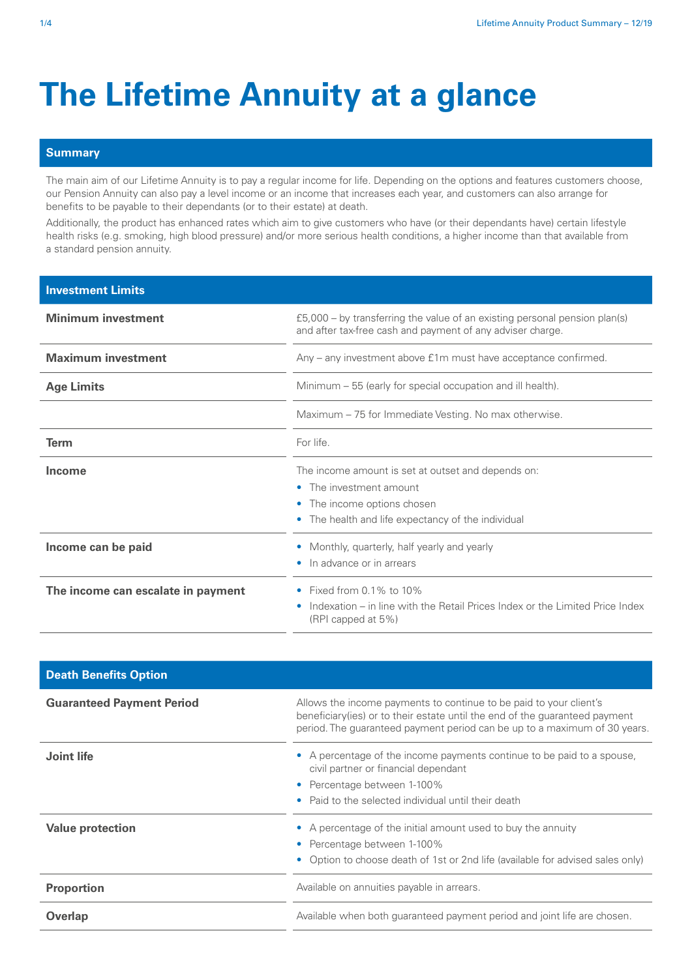## **The Lifetime Annuity at a glance**

## **Summary**

The main aim of our Lifetime Annuity is to pay a regular income for life. Depending on the options and features customers choose, our Pension Annuity can also pay a level income or an income that increases each year, and customers can also arrange for benefits to be payable to their dependants (or to their estate) at death.

Additionally, the product has enhanced rates which aim to give customers who have (or their dependants have) certain lifestyle health risks (e.g. smoking, high blood pressure) and/or more serious health conditions, a higher income than that available from a standard pension annuity.

| <b>Investment Limits</b>           |                                                                                                                                                                                |
|------------------------------------|--------------------------------------------------------------------------------------------------------------------------------------------------------------------------------|
| <b>Minimum investment</b>          | $£5,000 - by$ transferring the value of an existing personal pension plan(s)<br>and after tax-free cash and payment of any adviser charge.                                     |
| <b>Maximum investment</b>          | Any - any investment above £1m must have acceptance confirmed.                                                                                                                 |
| <b>Age Limits</b>                  | Minimum – 55 (early for special occupation and ill health).                                                                                                                    |
|                                    | Maximum – 75 for Immediate Vesting. No max otherwise.                                                                                                                          |
| Term                               | For life.                                                                                                                                                                      |
| Income                             | The income amount is set at outset and depends on:<br>The investment amount<br>$\bullet$<br>The income options chosen<br>۰<br>The health and life expectancy of the individual |
| Income can be paid                 | Monthly, quarterly, half yearly and yearly<br>In advance or in arrears                                                                                                         |
| The income can escalate in payment | Fixed from $0.1\%$ to $10\%$<br>۰<br>Indexation – in line with the Retail Prices Index or the Limited Price Index<br>$\bullet$<br>(RPI capped at 5%)                           |

| <b>Death Benefits Option</b>     |                                                                                                                                                                                                                                 |
|----------------------------------|---------------------------------------------------------------------------------------------------------------------------------------------------------------------------------------------------------------------------------|
| <b>Guaranteed Payment Period</b> | Allows the income payments to continue to be paid to your client's<br>beneficiary (ies) or to their estate until the end of the guaranteed payment<br>period. The guaranteed payment period can be up to a maximum of 30 years. |
| Joint life                       | A percentage of the income payments continue to be paid to a spouse,<br>$\bullet$<br>civil partner or financial dependant                                                                                                       |
|                                  | Percentage between 1-100%<br>$\bullet$                                                                                                                                                                                          |
|                                  | Paid to the selected individual until their death<br>۰                                                                                                                                                                          |
| <b>Value protection</b>          | A percentage of the initial amount used to buy the annuity<br>$\bullet$                                                                                                                                                         |
|                                  | Percentage between 1-100%<br>$\bullet$                                                                                                                                                                                          |
|                                  | Option to choose death of 1st or 2nd life (available for advised sales only)<br>$\bullet$                                                                                                                                       |
| <b>Proportion</b>                | Available on annuities payable in arrears.                                                                                                                                                                                      |
| Overlap                          | Available when both guaranteed payment period and joint life are chosen.                                                                                                                                                        |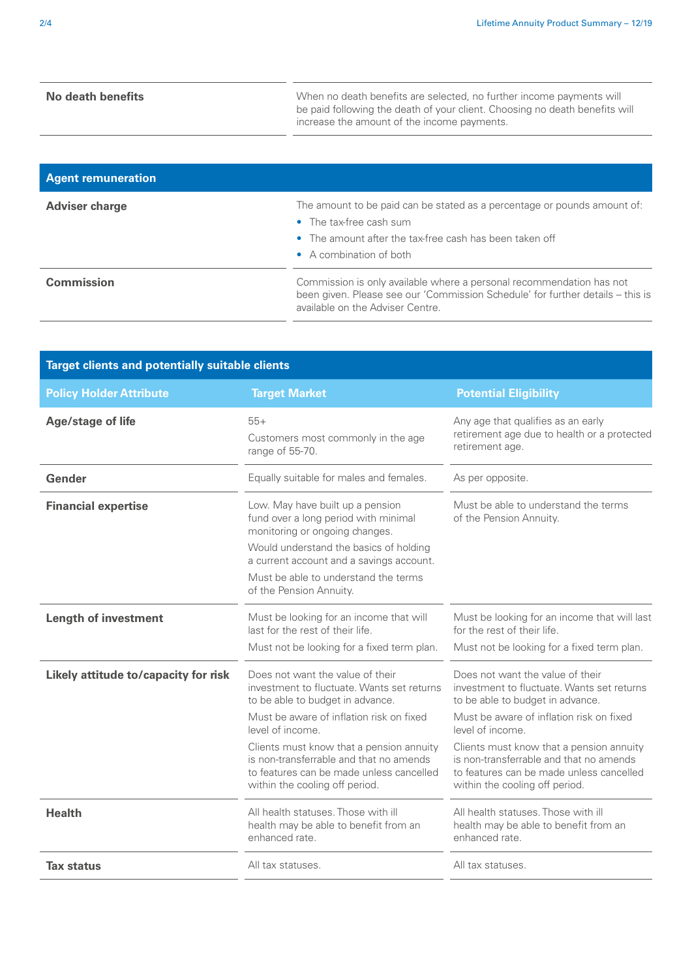**No death benefits** When no death benefits are selected, no further income payments will be paid following the death of your client. Choosing no death benefits will increase the amount of the income payments.

| <b>Agent remuneration</b> |                                                                                                                                                                                   |
|---------------------------|-----------------------------------------------------------------------------------------------------------------------------------------------------------------------------------|
| <b>Adviser charge</b>     | The amount to be paid can be stated as a percentage or pounds amount of:<br>• The tax-free cash sum<br>• The amount after the tax-free cash has been taken off                    |
| <b>Commission</b>         | • A combination of both<br>Commission is only available where a personal recommendation has not<br>been given. Please see our 'Commission Schedule' for further details – this is |
|                           | available on the Adviser Centre.                                                                                                                                                  |

| <b>Target Market</b><br><b>Potential Eligibility</b><br><b>Policy Holder Attribute</b><br><b>Age/stage of life</b><br>$55+$<br>Any age that qualifies as an early<br>retirement age due to health or a protected<br>Customers most commonly in the age<br>retirement age.<br>range of 55-70.<br>Gender<br>Equally suitable for males and females.<br>As per opposite.<br>Low. May have built up a pension<br>Must be able to understand the terms<br><b>Financial expertise</b><br>fund over a long period with minimal<br>of the Pension Annuity.<br>monitoring or ongoing changes.<br>Would understand the basics of holding<br>a current account and a savings account.<br>Must be able to understand the terms<br>of the Pension Annuity.<br><b>Length of investment</b><br>Must be looking for an income that will<br>Must be looking for an income that will last<br>last for the rest of their life.<br>for the rest of their life.<br>Must not be looking for a fixed term plan.<br>Must not be looking for a fixed term plan.<br>Does not want the value of their<br>Does not want the value of their<br>Likely attitude to/capacity for risk<br>investment to fluctuate. Wants set returns<br>investment to fluctuate. Wants set returns<br>to be able to budget in advance.<br>to be able to budget in advance.<br>Must be aware of inflation risk on fixed<br>Must be aware of inflation risk on fixed<br>level of income.<br>level of income.<br>Clients must know that a pension annuity<br>Clients must know that a pension annuity<br>is non-transferrable and that no amends<br>is non-transferrable and that no amends<br>to features can be made unless cancelled<br>to features can be made unless cancelled<br>within the cooling off period.<br>within the cooling off period. | <b>Target clients and potentially suitable clients</b> |                                     |                                     |
|------------------------------------------------------------------------------------------------------------------------------------------------------------------------------------------------------------------------------------------------------------------------------------------------------------------------------------------------------------------------------------------------------------------------------------------------------------------------------------------------------------------------------------------------------------------------------------------------------------------------------------------------------------------------------------------------------------------------------------------------------------------------------------------------------------------------------------------------------------------------------------------------------------------------------------------------------------------------------------------------------------------------------------------------------------------------------------------------------------------------------------------------------------------------------------------------------------------------------------------------------------------------------------------------------------------------------------------------------------------------------------------------------------------------------------------------------------------------------------------------------------------------------------------------------------------------------------------------------------------------------------------------------------------------------------------------------------------------------------------------------------------------------------------------------|--------------------------------------------------------|-------------------------------------|-------------------------------------|
|                                                                                                                                                                                                                                                                                                                                                                                                                                                                                                                                                                                                                                                                                                                                                                                                                                                                                                                                                                                                                                                                                                                                                                                                                                                                                                                                                                                                                                                                                                                                                                                                                                                                                                                                                                                                      |                                                        |                                     |                                     |
|                                                                                                                                                                                                                                                                                                                                                                                                                                                                                                                                                                                                                                                                                                                                                                                                                                                                                                                                                                                                                                                                                                                                                                                                                                                                                                                                                                                                                                                                                                                                                                                                                                                                                                                                                                                                      |                                                        |                                     |                                     |
|                                                                                                                                                                                                                                                                                                                                                                                                                                                                                                                                                                                                                                                                                                                                                                                                                                                                                                                                                                                                                                                                                                                                                                                                                                                                                                                                                                                                                                                                                                                                                                                                                                                                                                                                                                                                      |                                                        |                                     |                                     |
|                                                                                                                                                                                                                                                                                                                                                                                                                                                                                                                                                                                                                                                                                                                                                                                                                                                                                                                                                                                                                                                                                                                                                                                                                                                                                                                                                                                                                                                                                                                                                                                                                                                                                                                                                                                                      |                                                        |                                     |                                     |
|                                                                                                                                                                                                                                                                                                                                                                                                                                                                                                                                                                                                                                                                                                                                                                                                                                                                                                                                                                                                                                                                                                                                                                                                                                                                                                                                                                                                                                                                                                                                                                                                                                                                                                                                                                                                      |                                                        |                                     |                                     |
|                                                                                                                                                                                                                                                                                                                                                                                                                                                                                                                                                                                                                                                                                                                                                                                                                                                                                                                                                                                                                                                                                                                                                                                                                                                                                                                                                                                                                                                                                                                                                                                                                                                                                                                                                                                                      |                                                        |                                     |                                     |
|                                                                                                                                                                                                                                                                                                                                                                                                                                                                                                                                                                                                                                                                                                                                                                                                                                                                                                                                                                                                                                                                                                                                                                                                                                                                                                                                                                                                                                                                                                                                                                                                                                                                                                                                                                                                      |                                                        |                                     |                                     |
|                                                                                                                                                                                                                                                                                                                                                                                                                                                                                                                                                                                                                                                                                                                                                                                                                                                                                                                                                                                                                                                                                                                                                                                                                                                                                                                                                                                                                                                                                                                                                                                                                                                                                                                                                                                                      |                                                        |                                     |                                     |
|                                                                                                                                                                                                                                                                                                                                                                                                                                                                                                                                                                                                                                                                                                                                                                                                                                                                                                                                                                                                                                                                                                                                                                                                                                                                                                                                                                                                                                                                                                                                                                                                                                                                                                                                                                                                      |                                                        |                                     |                                     |
|                                                                                                                                                                                                                                                                                                                                                                                                                                                                                                                                                                                                                                                                                                                                                                                                                                                                                                                                                                                                                                                                                                                                                                                                                                                                                                                                                                                                                                                                                                                                                                                                                                                                                                                                                                                                      |                                                        |                                     |                                     |
| health may be able to benefit from an<br>health may be able to benefit from an<br>enhanced rate.<br>enhanced rate.                                                                                                                                                                                                                                                                                                                                                                                                                                                                                                                                                                                                                                                                                                                                                                                                                                                                                                                                                                                                                                                                                                                                                                                                                                                                                                                                                                                                                                                                                                                                                                                                                                                                                   | <b>Health</b>                                          | All health statuses. Those with ill | All health statuses. Those with ill |
| <b>Tax status</b><br>All tax statuses.<br>All tax statuses.                                                                                                                                                                                                                                                                                                                                                                                                                                                                                                                                                                                                                                                                                                                                                                                                                                                                                                                                                                                                                                                                                                                                                                                                                                                                                                                                                                                                                                                                                                                                                                                                                                                                                                                                          |                                                        |                                     |                                     |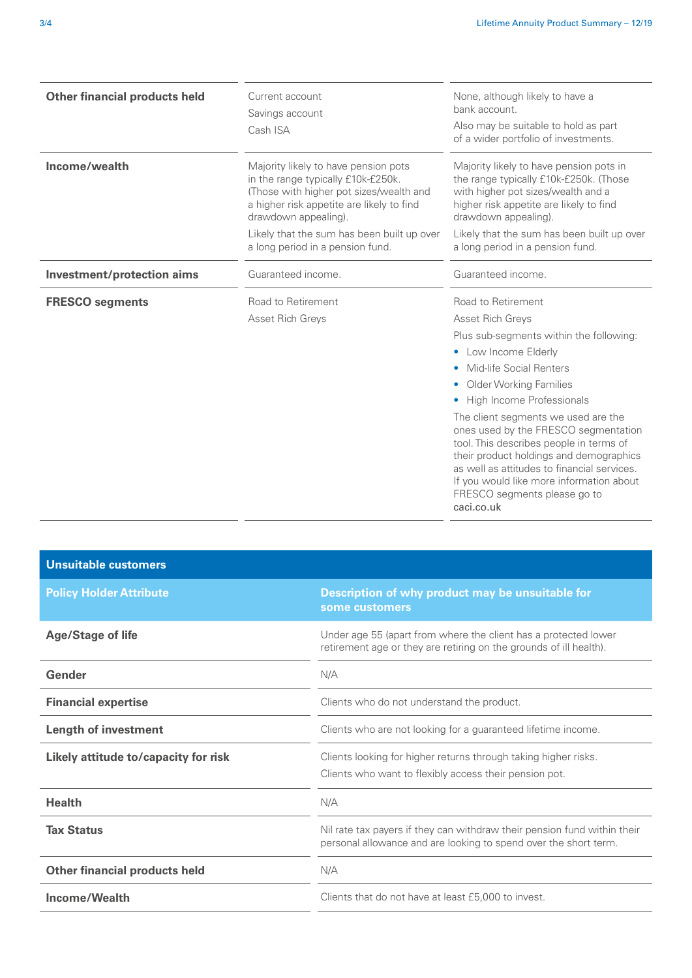| <b>Other financial products held</b> | Current account<br>Savings account<br>Cash ISA                                                                                                                                                                                                                               | None, although likely to have a<br>bank account.<br>Also may be suitable to hold as part<br>of a wider portfolio of investments.                                                                                                                                                                                                                                                                                                                                                                                              |
|--------------------------------------|------------------------------------------------------------------------------------------------------------------------------------------------------------------------------------------------------------------------------------------------------------------------------|-------------------------------------------------------------------------------------------------------------------------------------------------------------------------------------------------------------------------------------------------------------------------------------------------------------------------------------------------------------------------------------------------------------------------------------------------------------------------------------------------------------------------------|
| Income/wealth                        | Majority likely to have pension pots<br>in the range typically £10k-£250k.<br>(Those with higher pot sizes/wealth and<br>a higher risk appetite are likely to find<br>drawdown appealing).<br>Likely that the sum has been built up over<br>a long period in a pension fund. | Majority likely to have pension pots in<br>the range typically £10k-£250k. (Those<br>with higher pot sizes/wealth and a<br>higher risk appetite are likely to find<br>drawdown appealing).<br>Likely that the sum has been built up over<br>a long period in a pension fund.                                                                                                                                                                                                                                                  |
| Investment/protection aims           | Guaranteed income.                                                                                                                                                                                                                                                           | Guaranteed income.                                                                                                                                                                                                                                                                                                                                                                                                                                                                                                            |
| <b>FRESCO</b> segments               | Road to Retirement<br>Asset Rich Greys                                                                                                                                                                                                                                       | Road to Retirement<br>Asset Rich Greys<br>Plus sub-segments within the following:<br>• Low Income Elderly<br>Mid-life Social Renters<br>$\bullet$<br><b>Older Working Families</b><br>High Income Professionals<br>The client segments we used are the<br>ones used by the FRESCO segmentation<br>tool. This describes people in terms of<br>their product holdings and demographics<br>as well as attitudes to financial services.<br>If you would like more information about<br>FRESCO segments please go to<br>caci.co.uk |

| <b>Unsuitable customers</b>          |                                                                                                                                              |
|--------------------------------------|----------------------------------------------------------------------------------------------------------------------------------------------|
| <b>Policy Holder Attribute</b>       | Description of why product may be unsuitable for<br>some customers                                                                           |
| <b>Age/Stage of life</b>             | Under age 55 (apart from where the client has a protected lower<br>retirement age or they are retiring on the grounds of ill health).        |
| Gender                               | N/A                                                                                                                                          |
| <b>Financial expertise</b>           | Clients who do not understand the product.                                                                                                   |
| <b>Length of investment</b>          | Clients who are not looking for a guaranteed lifetime income.                                                                                |
| Likely attitude to/capacity for risk | Clients looking for higher returns through taking higher risks.<br>Clients who want to flexibly access their pension pot.                    |
| <b>Health</b>                        | N/A                                                                                                                                          |
| <b>Tax Status</b>                    | Nil rate tax payers if they can withdraw their pension fund within their<br>personal allowance and are looking to spend over the short term. |
| <b>Other financial products held</b> | N/A                                                                                                                                          |
| Income/Wealth                        | Clients that do not have at least £5,000 to invest.                                                                                          |
|                                      |                                                                                                                                              |